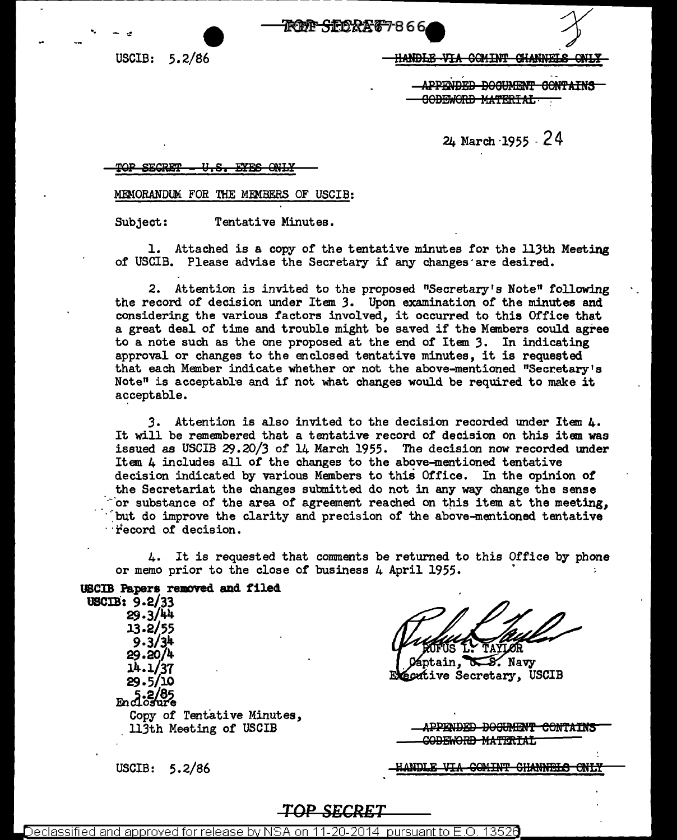1000 SEORE 7866

-------------------- - **\_\_\_\_\_\_\_\_\_\_\_\_\_\_ 1111!11 \_\_ \_** 

USCIB: 5.2/86

<del>COMINT CHANNELS</del>

**DOGUMENT CONTAINS** 00<del>DEWORD MATERIAL</del>

24 March ·1955 · 24

SECRET - U.S. EYES ONLY

MEMORANDUM FOR THE MEMBERS OF USCIB:

Subject: Tentative Minutes.

1. Attached is a copy of the tentative minutes for the 113th Meeting of' USCIB. Please advise the Secretary if any changes·are desired.

*2.* Attention is invited to the proposed "Secretary's Note" following the record of decision under Item *3.* Upon examination of the minutes and considering the various factors involved, it occurred to this Office that a great deal of time and trouble might be saved if the Members could agree to a note such as the one proposed at the end of Item 3. In indicating approval or changes to the enclosed tentative minutes, it is requested that each Member indicate whether or not the above-mentioned "Secretary's Note" is acceptable and if not what changes would be required to make it acceptable.

*3.* Attention is also invited to the decision recorded under Item 4. It will be remembered that a tentative record of decision on this item was issued as USCIB *2\$.20/3* of 14 March 1955. The decision now recorded under Item 4 includes all of the changes to the above-mentioned tentative decision indicated by various Members to this Office. In the opinion of the Secretariat the changes submitted do not in any way change the sense  $\sim$  or substance of the area of agreement reached on this item at the meeting,  $\sim$  but do improve the clarity and precision of the above-mentioned tentative riecord of decision.

4. It is requested that comments be returned to this Office by phone or memo prior to the close of business **4 April 1955.** .

### USCIB Papers removed and filed

USCIB: 9.2/33 29.3/44 i3.2/55  $9.3/34$ 29.2074 14.1/37 29.5/10<br>2.2/85<br>Enclosure Copy of Tentative Minutes, .<br>113th Meeting of USCIB

ptain,  $\sqrt{S}$ . Navy écative Secretary, USCIB

| <b>APPENDED DOCUMENT CONTAINS</b> |  |
|-----------------------------------|--|
| -CODEWORD MATERIAL                |  |

USCIB: 5.2/86

<del>VIA COMINT CHANNELS ONLY</del>

#### *TOP SECRET*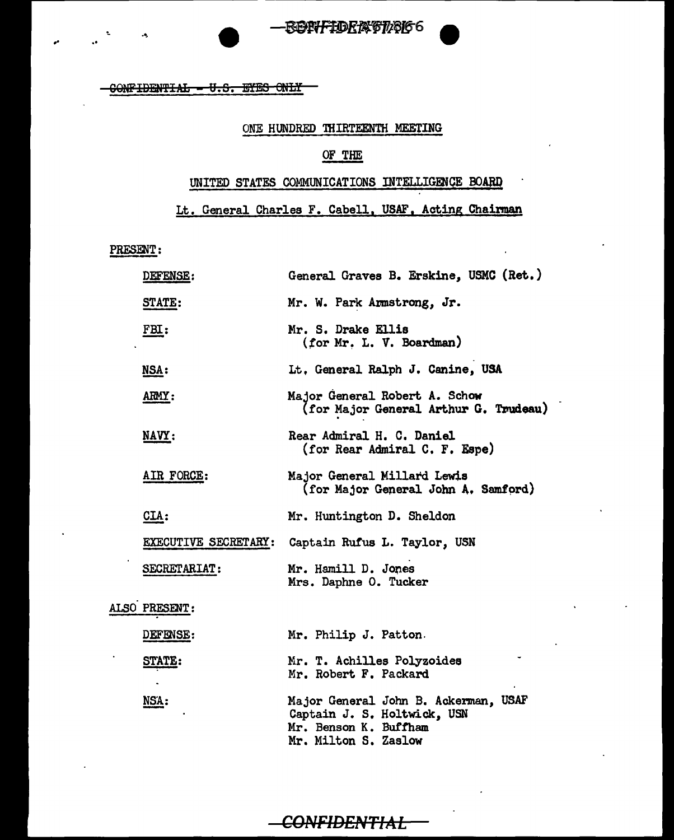-CONFIDENTIAL - U.S. ETES ONLY

#### ONE HUNDRED THIRTEENTH MEETING

# OF THE

#### UNITED STATES COMMUNICATIONS INTELLIGENCE BOARD

# Lt. General Charles F. Cabell, USAF, Acting Chairman

PRESENT:

 $\mathbf{A}$ 

| <b>DEFENSE:</b> | General Graves B. Erskine, USMC (Ret.)                                                                               |  |
|-----------------|----------------------------------------------------------------------------------------------------------------------|--|
| <b>STATE:</b>   | Mr. W. Park Armstrong, Jr.                                                                                           |  |
| FBI:            | Mr. S. Drake Ellis<br>for Mr. L. V. Boardman)                                                                        |  |
| NSA:            | Lt. General Ralph J. Canine, USA                                                                                     |  |
| ARMY:           | Major General Robert A. Schow<br>(for Major General Arthur G. Trudeau)                                               |  |
| <u>NAVY</u> :   | Rear Admiral H. C. Daniel<br>(for Rear Admiral C. F. Espe)                                                           |  |
| AIR FORCE:      | Major General Millard Lewis<br>(for Major General John A. Samford)                                                   |  |
| CIA:            | Mr. Huntington D. Sheldon                                                                                            |  |
|                 | EXECUTIVE SECRETARY: Captain Rufus L. Taylor, USN                                                                    |  |
| SECRETARIAT:    | Mr. Hamill D. Jones<br>Mrs. Daphne O. Tucker                                                                         |  |
| ALSO PRESENT:   |                                                                                                                      |  |
| DEFENSE:        | Mr. Philip J. Patton.                                                                                                |  |
| <b>STATE:</b>   | Mr. T. Achilles Polyzoides<br>Mr. Robert F. Packard                                                                  |  |
| NSA:            | Major General John B. Ackerman, USAF<br>Captain J. S. Holtwick, USN<br>Mr. Benson K. Buffham<br>Mr. Milton S. Zaslow |  |

# -CONFIDENTIAL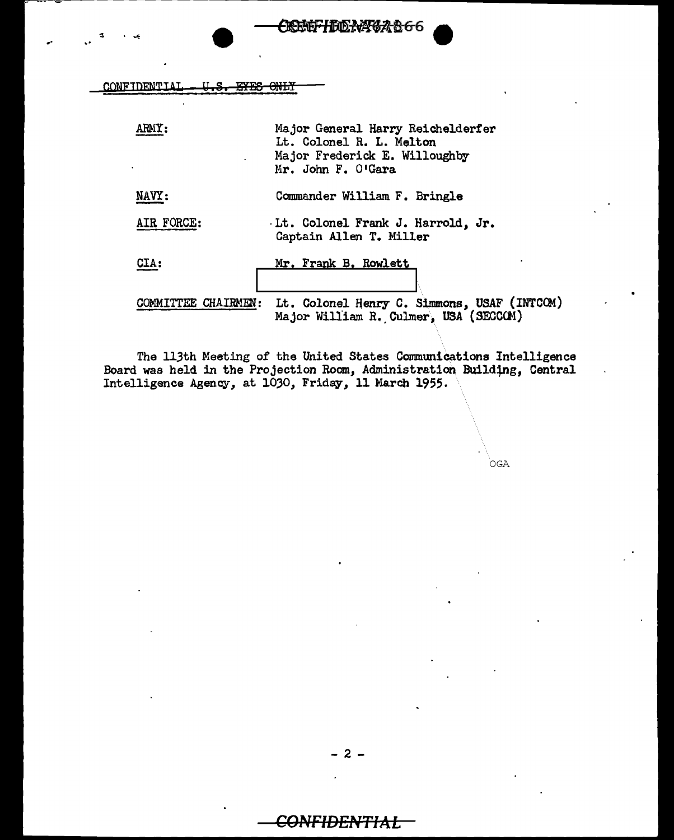CONFIDENTIAL U.S. EYES ONLY

.. ..

| ARMY:               | Major General Harry Reichelderfer<br>Lt. Colonel R. L. Melton<br>Major Frederick E. Willoughby<br>Mr. John F. O'Gara |
|---------------------|----------------------------------------------------------------------------------------------------------------------|
| NAVY:               | Commander William F. Bringle                                                                                         |
| AIR FORCE:          | Lt. Colonel Frank J. Harrold, Jr.<br>Captain Allen T. Miller                                                         |
| CIA:                | Mr. Frank B. Rowlett                                                                                                 |
| COMMITTEE CHAIRMEN: | Lt. Colonel Henry C. Simmons, USAF (INTCOM)<br>Major William R. Culmer, USA (SECCCM)                                 |

The 113th Meeting of the United States Communications Intelligence Board was held in the Projection Room, Administration Building, Central Intelligence Agency, at 1030, Friday, 11 March 1955.

OGA

**CONFIDENTIAL**